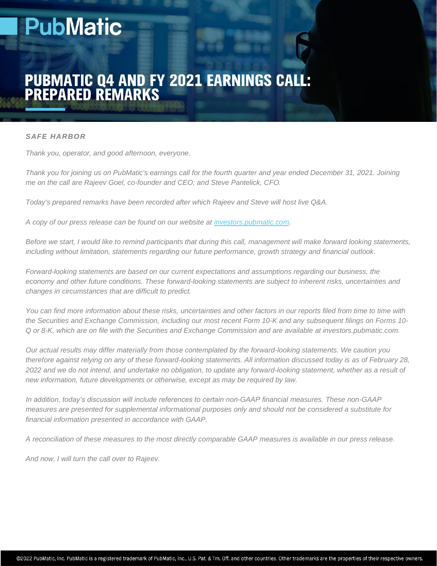# **PubMatic**

# **PUBMATIC Q4 AND FY 2021 EARNINGS CALL:<br>PREPARED REMARKS**

#### *SAFE HARBOR*

*Thank you, operator, and good afternoon, everyone.*

*Thank you for joining us on PubMatic's earnings call for the fourth quarter and year ended December 31, 2021. Joining me on the call are Rajeev Goel, co-founder and CEO; and Steve Pantelick, CFO.*

*Today's prepared remarks have been recorded after which Rajeev and Steve will host live Q&A.*

*A copy of our press release can be found on our website at [investors.pubmatic.com.](http://investors.pubmatic.com/)*

*Before we start, I would like to remind participants that during this call, management will make forward looking statements, including without limitation, statements regarding our future performance, growth strategy and financial outlook.*

*Forward-looking statements are based on our current expectations and assumptions regarding our business, the economy and other future conditions. These forward-looking statements are subject to inherent risks, uncertainties and changes in circumstances that are difficult to predict.*

*You can find more information about these risks, uncertainties and other factors in our reports filed from time to time with the Securities and Exchange Commission, including our most recent Form 10-K and any subsequent filings on Forms 10- Q or 8-K, which are on file with the Securities and Exchange Commission and are available at investors.pubmatic.com.* 

*Our actual results may differ materially from those contemplated by the forward-looking statements. We caution you therefore against relying on any of these forward-looking statements. All information discussed today is as of February 28, 2022 and we do not intend, and undertake no obligation, to update any forward-looking statement, whether as a result of new information, future developments or otherwise, except as may be required by law.*

*In addition, today's discussion will include references to certain non-GAAP financial measures. These non-GAAP measures are presented for supplemental informational purposes only and should not be considered a substitute for financial information presented in accordance with GAAP.*

*A reconciliation of these measures to the most directly comparable GAAP measures is available in our press release.*

*And now, I will turn the call over to Rajeev.*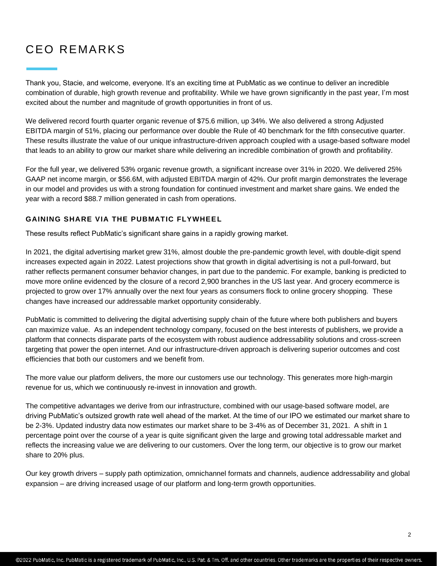## CEO REMARKS

Thank you, Stacie, and welcome, everyone. It's an exciting time at PubMatic as we continue to deliver an incredible combination of durable, high growth revenue and profitability. While we have grown significantly in the past year, I'm most excited about the number and magnitude of growth opportunities in front of us.

We delivered record fourth quarter organic revenue of \$75.6 million, up 34%. We also delivered a strong Adjusted EBITDA margin of 51%, placing our performance over double the Rule of 40 benchmark for the fifth consecutive quarter. These results illustrate the value of our unique infrastructure-driven approach coupled with a usage-based software model that leads to an ability to grow our market share while delivering an incredible combination of growth and profitability.

For the full year, we delivered 53% organic revenue growth, a significant increase over 31% in 2020. We delivered 25% GAAP net income margin, or \$56.6M, with adjusted EBITDA margin of 42%. Our profit margin demonstrates the leverage in our model and provides us with a strong foundation for continued investment and market share gains. We ended the year with a record \$88.7 million generated in cash from operations.

#### **GAINING SHARE VIA THE PUBMATIC FLYWHEEL**

These results reflect PubMatic's significant share gains in a rapidly growing market.

In 2021, the digital advertising market grew 31%, almost double the pre-pandemic growth level, with double-digit spend increases expected again in 2022. Latest projections show that growth in digital advertising is not a pull-forward, but rather reflects permanent consumer behavior changes, in part due to the pandemic. For example, banking is predicted to move more online evidenced by the closure of a record 2,900 branches in the US last year. And grocery ecommerce is projected to grow over 17% annually over the next four years as consumers flock to online grocery shopping. These changes have increased our addressable market opportunity considerably.

PubMatic is committed to delivering the digital advertising supply chain of the future where both publishers and buyers can maximize value. As an independent technology company, focused on the best interests of publishers, we provide a platform that connects disparate parts of the ecosystem with robust audience addressability solutions and cross-screen targeting that power the open internet. And our infrastructure-driven approach is delivering superior outcomes and cost efficiencies that both our customers and we benefit from.

The more value our platform delivers, the more our customers use our technology. This generates more high-margin revenue for us, which we continuously re-invest in innovation and growth.

The competitive advantages we derive from our infrastructure, combined with our usage-based software model, are driving PubMatic's outsized growth rate well ahead of the market. At the time of our IPO we estimated our market share to be 2-3%. Updated industry data now estimates our market share to be 3-4% as of December 31, 2021. A shift in 1 percentage point over the course of a year is quite significant given the large and growing total addressable market and reflects the increasing value we are delivering to our customers. Over the long term, our objective is to grow our market share to 20% plus.

Our key growth drivers – supply path optimization, omnichannel formats and channels, audience addressability and global expansion – are driving increased usage of our platform and long-term growth opportunities.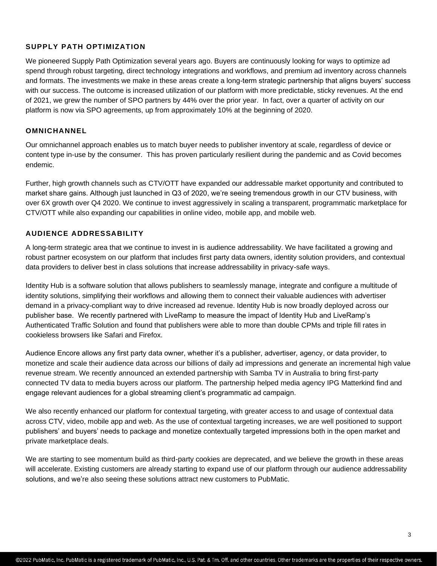#### **SUPPLY PATH OPTIMIZATION**

We pioneered Supply Path Optimization several years ago. Buyers are continuously looking for ways to optimize ad spend through robust targeting, direct technology integrations and workflows, and premium ad inventory across channels and formats. The investments we make in these areas create a long-term strategic partnership that aligns buyers' success with our success. The outcome is increased utilization of our platform with more predictable, sticky revenues. At the end of 2021, we grew the number of SPO partners by 44% over the prior year. In fact, over a quarter of activity on our platform is now via SPO agreements, up from approximately 10% at the beginning of 2020.

#### **OMNICHANNEL**

Our omnichannel approach enables us to match buyer needs to publisher inventory at scale, regardless of device or content type in-use by the consumer. This has proven particularly resilient during the pandemic and as Covid becomes endemic.

Further, high growth channels such as CTV/OTT have expanded our addressable market opportunity and contributed to market share gains. Although just launched in Q3 of 2020, we're seeing tremendous growth in our CTV business, with over 6X growth over Q4 2020. We continue to invest aggressively in scaling a transparent, programmatic marketplace for CTV/OTT while also expanding our capabilities in online video, mobile app, and mobile web.

#### **AUDIENCE ADDRESSABILITY**

A long-term strategic area that we continue to invest in is audience addressability. We have facilitated a growing and robust partner ecosystem on our platform that includes first party data owners, identity solution providers, and contextual data providers to deliver best in class solutions that increase addressability in privacy-safe ways.

Identity Hub is a software solution that allows publishers to seamlessly manage, integrate and configure a multitude of identity solutions, simplifying their workflows and allowing them to connect their valuable audiences with advertiser demand in a privacy-compliant way to drive increased ad revenue. Identity Hub is now broadly deployed across our publisher base. We recently partnered with LiveRamp to measure the impact of Identity Hub and LiveRamp's Authenticated Traffic Solution and found that publishers were able to more than double CPMs and triple fill rates in cookieless browsers like Safari and Firefox.

Audience Encore allows any first party data owner, whether it's a publisher, advertiser, agency, or data provider, to monetize and scale their audience data across our billions of daily ad impressions and generate an incremental high value revenue stream. We recently announced an extended partnership with Samba TV in Australia to bring first-party connected TV data to media buyers across our platform. The partnership helped media agency IPG Matterkind find and engage relevant audiences for a global streaming client's programmatic ad campaign.

We also recently enhanced our platform for contextual targeting, with greater access to and usage of contextual data across CTV, video, mobile app and web. As the use of contextual targeting increases, we are well positioned to support publishers' and buyers' needs to package and monetize contextually targeted impressions both in the open market and private marketplace deals.

We are starting to see momentum build as third-party cookies are deprecated, and we believe the growth in these areas will accelerate. Existing customers are already starting to expand use of our platform through our audience addressability solutions, and we're also seeing these solutions attract new customers to PubMatic.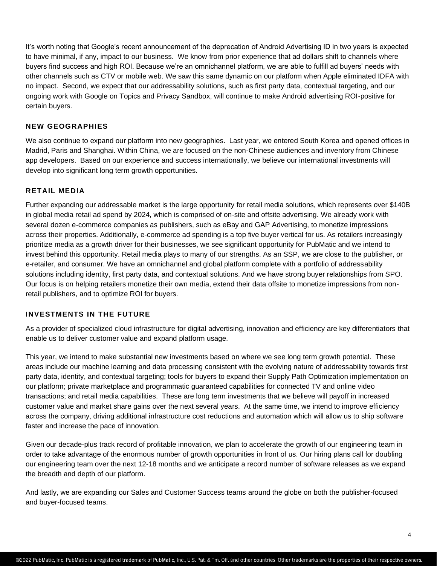It's worth noting that Google's recent announcement of the deprecation of Android Advertising ID in two years is expected to have minimal, if any, impact to our business. We know from prior experience that ad dollars shift to channels where buyers find success and high ROI. Because we're an omnichannel platform, we are able to fulfill ad buyers' needs with other channels such as CTV or mobile web. We saw this same dynamic on our platform when Apple eliminated IDFA with no impact. Second, we expect that our addressability solutions, such as first party data, contextual targeting, and our ongoing work with Google on Topics and Privacy Sandbox, will continue to make Android advertising ROI-positive for certain buyers.

#### **NEW GEOGRAPHIES**

We also continue to expand our platform into new geographies. Last year, we entered South Korea and opened offices in Madrid, Paris and Shanghai. Within China, we are focused on the non-Chinese audiences and inventory from Chinese app developers. Based on our experience and success internationally, we believe our international investments will develop into significant long term growth opportunities.

#### **RETAIL MEDIA**

Further expanding our addressable market is the large opportunity for retail media solutions, which represents over \$140B in global media retail ad spend by 2024, which is comprised of on-site and offsite advertising. We already work with several dozen e-commerce companies as publishers, such as eBay and GAP Advertising, to monetize impressions across their properties. Additionally, e-commerce ad spending is a top five buyer vertical for us. As retailers increasingly prioritize media as a growth driver for their businesses, we see significant opportunity for PubMatic and we intend to invest behind this opportunity. Retail media plays to many of our strengths. As an SSP, we are close to the publisher, or e-retailer, and consumer. We have an omnichannel and global platform complete with a portfolio of addressability solutions including identity, first party data, and contextual solutions. And we have strong buyer relationships from SPO. Our focus is on helping retailers monetize their own media, extend their data offsite to monetize impressions from nonretail publishers, and to optimize ROI for buyers.

#### **INVESTMENTS IN THE FUTURE**

As a provider of specialized cloud infrastructure for digital advertising, innovation and efficiency are key differentiators that enable us to deliver customer value and expand platform usage.

This year, we intend to make substantial new investments based on where we see long term growth potential. These areas include our machine learning and data processing consistent with the evolving nature of addressability towards first party data, identity, and contextual targeting; tools for buyers to expand their Supply Path Optimization implementation on our platform; private marketplace and programmatic guaranteed capabilities for connected TV and online video transactions; and retail media capabilities. These are long term investments that we believe will payoff in increased customer value and market share gains over the next several years. At the same time, we intend to improve efficiency across the company, driving additional infrastructure cost reductions and automation which will allow us to ship software faster and increase the pace of innovation.

Given our decade-plus track record of profitable innovation, we plan to accelerate the growth of our engineering team in order to take advantage of the enormous number of growth opportunities in front of us. Our hiring plans call for doubling our engineering team over the next 12-18 months and we anticipate a record number of software releases as we expand the breadth and depth of our platform.

And lastly, we are expanding our Sales and Customer Success teams around the globe on both the publisher-focused and buyer-focused teams.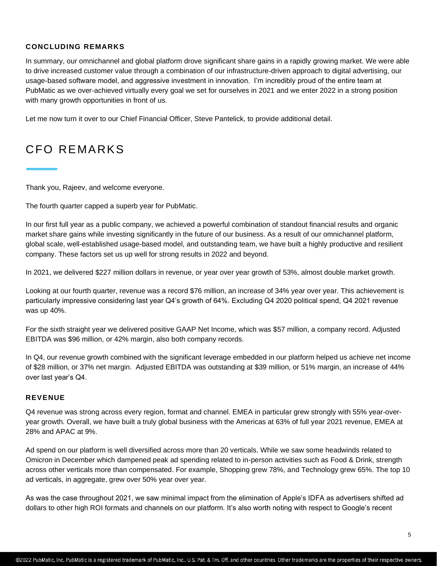#### **CONCLUDING REMARKS**

In summary, our omnichannel and global platform drove significant share gains in a rapidly growing market. We were able to drive increased customer value through a combination of our infrastructure-driven approach to digital advertising, our usage-based software model, and aggressive investment in innovation. I'm incredibly proud of the entire team at PubMatic as we over-achieved virtually every goal we set for ourselves in 2021 and we enter 2022 in a strong position with many growth opportunities in front of us.

Let me now turn it over to our Chief Financial Officer, Steve Pantelick, to provide additional detail.

### CFO REMARKS

Thank you, Rajeev, and welcome everyone.

The fourth quarter capped a superb year for PubMatic.

In our first full year as a public company, we achieved a powerful combination of standout financial results and organic market share gains while investing significantly in the future of our business. As a result of our omnichannel platform, global scale, well-established usage-based model, and outstanding team, we have built a highly productive and resilient company. These factors set us up well for strong results in 2022 and beyond.

In 2021, we delivered \$227 million dollars in revenue, or year over year growth of 53%, almost double market growth.

Looking at our fourth quarter, revenue was a record \$76 million, an increase of 34% year over year. This achievement is particularly impressive considering last year Q4's growth of 64%. Excluding Q4 2020 political spend, Q4 2021 revenue was up 40%.

For the sixth straight year we delivered positive GAAP Net Income, which was \$57 million, a company record. Adjusted EBITDA was \$96 million, or 42% margin, also both company records.

In Q4, our revenue growth combined with the significant leverage embedded in our platform helped us achieve net income of \$28 million, or 37% net margin. Adjusted EBITDA was outstanding at \$39 million, or 51% margin, an increase of 44% over last year's Q4.

#### **REVENUE**

Q4 revenue was strong across every region, format and channel. EMEA in particular grew strongly with 55% year-overyear growth. Overall, we have built a truly global business with the Americas at 63% of full year 2021 revenue, EMEA at 28% and APAC at 9%.

Ad spend on our platform is well diversified across more than 20 verticals. While we saw some headwinds related to Omicron in December which dampened peak ad spending related to in-person activities such as Food & Drink, strength across other verticals more than compensated. For example, Shopping grew 78%, and Technology grew 65%. The top 10 ad verticals, in aggregate, grew over 50% year over year.

As was the case throughout 2021, we saw minimal impact from the elimination of Apple's IDFA as advertisers shifted ad dollars to other high ROI formats and channels on our platform. It's also worth noting with respect to Google's recent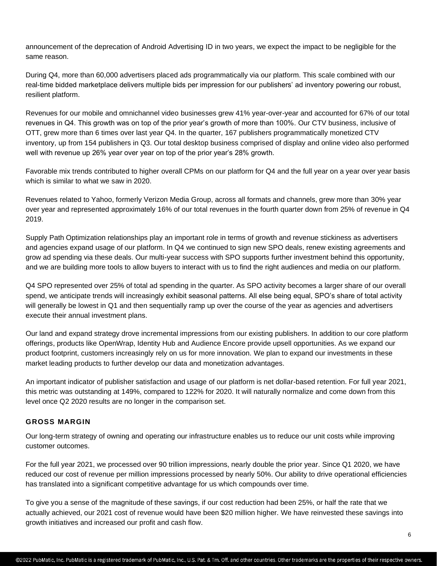announcement of the deprecation of Android Advertising ID in two years, we expect the impact to be negligible for the same reason.

During Q4, more than 60,000 advertisers placed ads programmatically via our platform. This scale combined with our real-time bidded marketplace delivers multiple bids per impression for our publishers' ad inventory powering our robust, resilient platform.

Revenues for our mobile and omnichannel video businesses grew 41% year-over-year and accounted for 67% of our total revenues in Q4. This growth was on top of the prior year's growth of more than 100%. Our CTV business, inclusive of OTT, grew more than 6 times over last year Q4. In the quarter, 167 publishers programmatically monetized CTV inventory, up from 154 publishers in Q3. Our total desktop business comprised of display and online video also performed well with revenue up 26% year over year on top of the prior year's 28% growth.

Favorable mix trends contributed to higher overall CPMs on our platform for Q4 and the full year on a year over year basis which is similar to what we saw in 2020.

Revenues related to Yahoo, formerly Verizon Media Group, across all formats and channels, grew more than 30% year over year and represented approximately 16% of our total revenues in the fourth quarter down from 25% of revenue in Q4 2019.

Supply Path Optimization relationships play an important role in terms of growth and revenue stickiness as advertisers and agencies expand usage of our platform. In Q4 we continued to sign new SPO deals, renew existing agreements and grow ad spending via these deals. Our multi-year success with SPO supports further investment behind this opportunity, and we are building more tools to allow buyers to interact with us to find the right audiences and media on our platform.

Q4 SPO represented over 25% of total ad spending in the quarter. As SPO activity becomes a larger share of our overall spend, we anticipate trends will increasingly exhibit seasonal patterns. All else being equal, SPO's share of total activity will generally be lowest in Q1 and then sequentially ramp up over the course of the year as agencies and advertisers execute their annual investment plans.

Our land and expand strategy drove incremental impressions from our existing publishers. In addition to our core platform offerings, products like OpenWrap, Identity Hub and Audience Encore provide upsell opportunities. As we expand our product footprint, customers increasingly rely on us for more innovation. We plan to expand our investments in these market leading products to further develop our data and monetization advantages.

An important indicator of publisher satisfaction and usage of our platform is net dollar-based retention. For full year 2021, this metric was outstanding at 149%, compared to 122% for 2020. It will naturally normalize and come down from this level once Q2 2020 results are no longer in the comparison set.

#### **GROSS MARGIN**

Our long-term strategy of owning and operating our infrastructure enables us to reduce our unit costs while improving customer outcomes.

For the full year 2021, we processed over 90 trillion impressions, nearly double the prior year. Since Q1 2020, we have reduced our cost of revenue per million impressions processed by nearly 50%. Our ability to drive operational efficiencies has translated into a significant competitive advantage for us which compounds over time.

To give you a sense of the magnitude of these savings, if our cost reduction had been 25%, or half the rate that we actually achieved, our 2021 cost of revenue would have been \$20 million higher. We have reinvested these savings into growth initiatives and increased our profit and cash flow.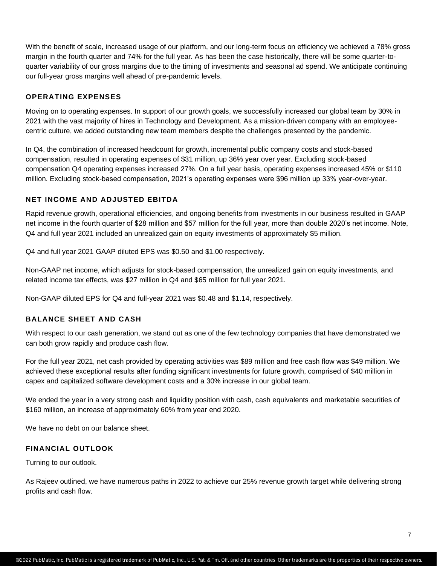With the benefit of scale, increased usage of our platform, and our long-term focus on efficiency we achieved a 78% gross margin in the fourth quarter and 74% for the full year. As has been the case historically, there will be some quarter-toquarter variability of our gross margins due to the timing of investments and seasonal ad spend. We anticipate continuing our full-year gross margins well ahead of pre-pandemic levels.

#### **OPERATING EXPENSES**

Moving on to operating expenses. In support of our growth goals, we successfully increased our global team by 30% in 2021 with the vast majority of hires in Technology and Development. As a mission-driven company with an employeecentric culture, we added outstanding new team members despite the challenges presented by the pandemic.

In Q4, the combination of increased headcount for growth, incremental public company costs and stock-based compensation, resulted in operating expenses of \$31 million, up 36% year over year. Excluding stock-based compensation Q4 operating expenses increased 27%. On a full year basis, operating expenses increased 45% or \$110 million. Excluding stock-based compensation, 2021's operating expenses were \$96 million up 33% year-over-year.

#### **NET INCOME AND ADJUSTED EBITDA**

Rapid revenue growth, operational efficiencies, and ongoing benefits from investments in our business resulted in GAAP net income in the fourth quarter of \$28 million and \$57 million for the full year, more than double 2020's net income. Note, Q4 and full year 2021 included an unrealized gain on equity investments of approximately \$5 million.

Q4 and full year 2021 GAAP diluted EPS was \$0.50 and \$1.00 respectively.

Non-GAAP net income, which adjusts for stock-based compensation, the unrealized gain on equity investments, and related income tax effects, was \$27 million in Q4 and \$65 million for full year 2021.

Non-GAAP diluted EPS for Q4 and full-year 2021 was \$0.48 and \$1.14, respectively.

#### **BALANCE SHEET AND CASH**

With respect to our cash generation, we stand out as one of the few technology companies that have demonstrated we can both grow rapidly and produce cash flow.

For the full year 2021, net cash provided by operating activities was \$89 million and free cash flow was \$49 million. We achieved these exceptional results after funding significant investments for future growth, comprised of \$40 million in capex and capitalized software development costs and a 30% increase in our global team.

We ended the year in a very strong cash and liquidity position with cash, cash equivalents and marketable securities of \$160 million, an increase of approximately 60% from year end 2020.

We have no debt on our balance sheet.

#### **FINANCIAL OUTLOOK**

Turning to our outlook.

As Rajeev outlined, we have numerous paths in 2022 to achieve our 25% revenue growth target while delivering strong profits and cash flow.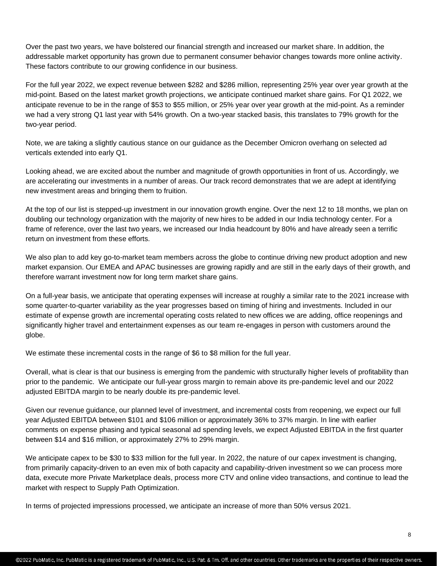Over the past two years, we have bolstered our financial strength and increased our market share. In addition, the addressable market opportunity has grown due to permanent consumer behavior changes towards more online activity. These factors contribute to our growing confidence in our business.

For the full year 2022, we expect revenue between \$282 and \$286 million, representing 25% year over year growth at the mid-point. Based on the latest market growth projections, we anticipate continued market share gains. For Q1 2022, we anticipate revenue to be in the range of \$53 to \$55 million, or 25% year over year growth at the mid-point. As a reminder we had a very strong Q1 last year with 54% growth. On a two-year stacked basis, this translates to 79% growth for the two-year period.

Note, we are taking a slightly cautious stance on our guidance as the December Omicron overhang on selected ad verticals extended into early Q1.

Looking ahead, we are excited about the number and magnitude of growth opportunities in front of us. Accordingly, we are accelerating our investments in a number of areas. Our track record demonstrates that we are adept at identifying new investment areas and bringing them to fruition.

At the top of our list is stepped-up investment in our innovation growth engine. Over the next 12 to 18 months, we plan on doubling our technology organization with the majority of new hires to be added in our India technology center. For a frame of reference, over the last two years, we increased our India headcount by 80% and have already seen a terrific return on investment from these efforts.

We also plan to add key go-to-market team members across the globe to continue driving new product adoption and new market expansion. Our EMEA and APAC businesses are growing rapidly and are still in the early days of their growth, and therefore warrant investment now for long term market share gains.

On a full-year basis, we anticipate that operating expenses will increase at roughly a similar rate to the 2021 increase with some quarter-to-quarter variability as the year progresses based on timing of hiring and investments. Included in our estimate of expense growth are incremental operating costs related to new offices we are adding, office reopenings and significantly higher travel and entertainment expenses as our team re-engages in person with customers around the globe.

We estimate these incremental costs in the range of \$6 to \$8 million for the full year.

Overall, what is clear is that our business is emerging from the pandemic with structurally higher levels of profitability than prior to the pandemic. We anticipate our full-year gross margin to remain above its pre-pandemic level and our 2022 adjusted EBITDA margin to be nearly double its pre-pandemic level.

Given our revenue guidance, our planned level of investment, and incremental costs from reopening, we expect our full year Adjusted EBITDA between \$101 and \$106 million or approximately 36% to 37% margin. In line with earlier comments on expense phasing and typical seasonal ad spending levels, we expect Adjusted EBITDA in the first quarter between \$14 and \$16 million, or approximately 27% to 29% margin.

We anticipate capex to be \$30 to \$33 million for the full year. In 2022, the nature of our capex investment is changing, from primarily capacity-driven to an even mix of both capacity and capability-driven investment so we can process more data, execute more Private Marketplace deals, process more CTV and online video transactions, and continue to lead the market with respect to Supply Path Optimization.

In terms of projected impressions processed, we anticipate an increase of more than 50% versus 2021.